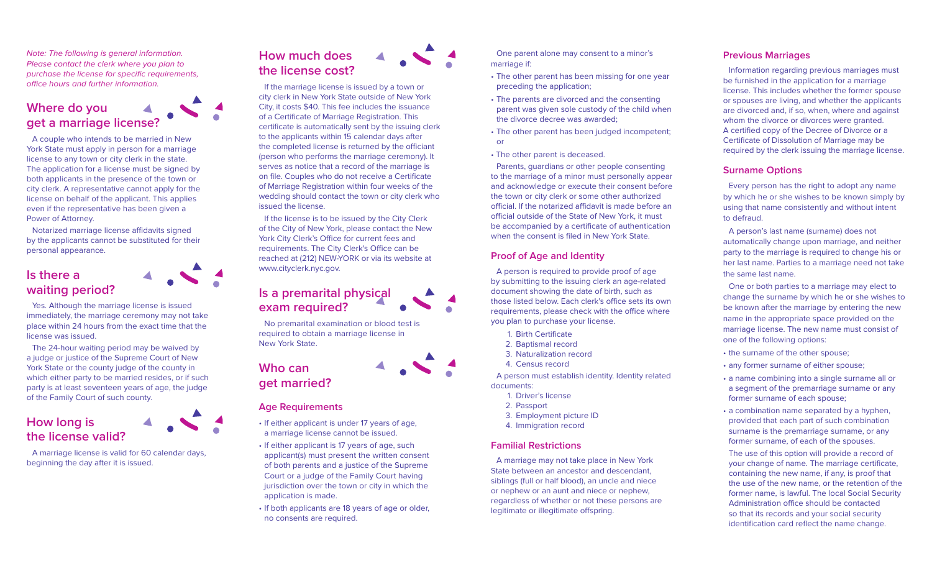Note: The following is general information. Please contact the clerk where you plan to purchase the license for specific requirements, office hours and further information.

## **Where do you get a marriage license?**

A couple who intends to be married in New York State must apply in person for a marriage license to any town or city clerk in the state. The application for a license must be signed by both applicants in the presence of the town or city clerk. A representative cannot apply for the license on behalf of the applicant. This applies even if the representative has been given a Power of Attorney.

Notarized marriage license affidavits signed by the applicants cannot be substituted for their personal appearance.

## **Is there a waiting period?**

Yes. Although the marriage license is issued immediately, the marriage ceremony may not take place within 24 hours from the exact time that the license was issued.

The 24-hour waiting period may be waived by a judge or justice of the Supreme Court of New York State or the county judge of the county in which either party to be married resides, or if such party is at least seventeen years of age, the judge of the Family Court of such county.

## **How long is the license valid?**

A marriage license is valid for 60 calendar days, beginning the day after it is issued.

#### **How much does**  $\blacktriangle$ **the license cost?**

If the marriage license is issued by a town or city clerk in New York State outside of New York City, it costs \$40. This fee includes the issuance of a Certificate of Marriage Registration. This certificate is automatically sent by the issuing clerk to the applicants within 15 calendar days after the completed license is returned by the officiant (person who performs the marriage ceremony). It serves as notice that a record of the marriage is on file. Couples who do not receive a Certificate of Marriage Registration within four weeks of the wedding should contact the town or city clerk who issued the license.

If the license is to be issued by the City Clerk of the City of New York, please contact the New York City Clerk's Office for current fees and requirements. The City Clerk's Office can be reached at (212) NEW-YORK or via its website at www.cityclerk.nyc.gov.

**Is a premarital physical exam required?**

No premarital examination or blood test is required to obtain a marriage license in New York State.

## **Who can get married?**

#### **Age Requirements**

- If either applicant is under 17 years of age, a marriage license cannot be issued.
- If either applicant is 17 years of age, such applicant(s) must present the written consent of both parents and a justice of the Supreme Court or a judge of the Family Court having jurisdiction over the town or city in which the application is made.
- If both applicants are 18 years of age or older, no consents are required.

One parent alone may consent to a minor's marriage if:

- The other parent has been missing for one year preceding the application;
- The parents are divorced and the consenting parent was given sole custody of the child when the divorce decree was awarded;
- The other parent has been judged incompetent; or
- The other parent is deceased.

Parents, guardians or other people consenting to the marriage of a minor must personally appear and acknowledge or execute their consent before the town or city clerk or some other authorized official. If the notarized affidavit is made before an official outside of the State of New York, it must be accompanied by a certificate of authentication when the consent is filed in New York State.

#### **Proof of Age and Identity**

A person is required to provide proof of age by submitting to the issuing clerk an age-related document showing the date of birth, such as those listed below. Each clerk's office sets its own requirements, please check with the office where you plan to purchase your license.

- 1. Birth Certificate
- 2. Baptismal record
- 3. Naturalization record
- 4. Census record

A person must establish identity. Identity related documents:

- 1. Driver's license
- 2. Passport
- 3. Employment picture ID
- 4. Immigration record

#### **Familial Restrictions**

A marriage may not take place in New York State between an ancestor and descendant, siblings (full or half blood), an uncle and niece or nephew or an aunt and niece or nephew, regardless of whether or not these persons are legitimate or illegitimate offspring.

#### **Previous Marriages**

Information regarding previous marriages must be furnished in the application for a marriage license. This includes whether the former spouse or spouses are living, and whether the applicants are divorced and, if so, when, where and against whom the divorce or divorces were granted. A certified copy of the Decree of Divorce or a Certificate of Dissolution of Marriage may be required by the clerk issuing the marriage license.

#### **Surname Options**

Every person has the right to adopt any name by which he or she wishes to be known simply by using that name consistently and without intent to defraud.

A person's last name (surname) does not automatically change upon marriage, and neither party to the marriage is required to change his or her last name. Parties to a marriage need not take the same last name.

One or both parties to a marriage may elect to change the surname by which he or she wishes to be known after the marriage by entering the new name in the appropriate space provided on the marriage license. The new name must consist of one of the following options:

- the surname of the other spouse;
- any former surname of either spouse;
- a name combining into a single surname all or a segment of the premarriage surname or any former surname of each spouse;
- a combination name separated by a hyphen, provided that each part of such combination surname is the premarriage surname, or any former surname, of each of the spouses.

The use of this option will provide a record of your change of name. The marriage certificate, containing the new name, if any, is proof that the use of the new name, or the retention of the former name, is lawful. The local Social Security Administration office should be contacted so that its records and your social security identification card reflect the name change.